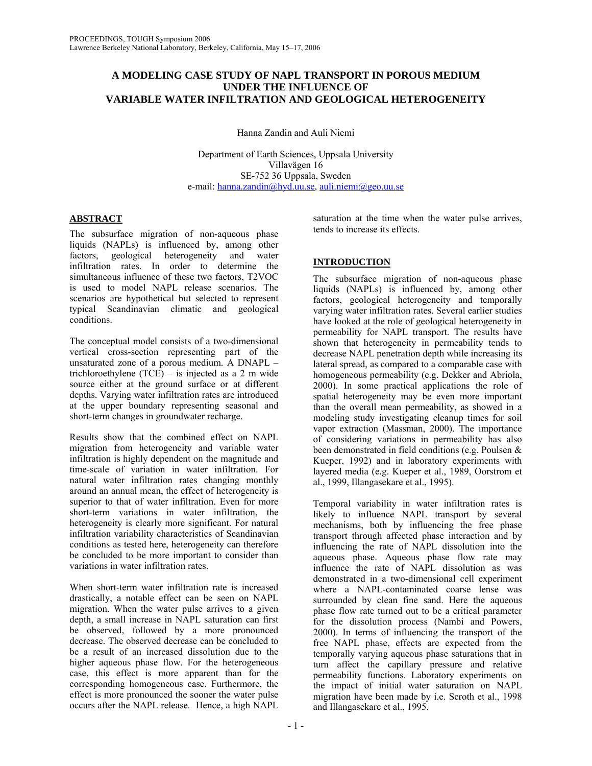# **A MODELING CASE STUDY OF NAPL TRANSPORT IN POROUS MEDIUM UNDER THE INFLUENCE OF VARIABLE WATER INFILTRATION AND GEOLOGICAL HETEROGENEITY**

Hanna Zandin and Auli Niemi

Department of Earth Sciences, Uppsala University Villavägen 16 SE-752 36 Uppsala, Sweden e-mail: hanna.zandin@hyd.uu.se, auli.niemi@geo.uu.se

# **ABSTRACT**

The subsurface migration of non-aqueous phase liquids (NAPLs) is influenced by, among other factors, geological heterogeneity and water infiltration rates. In order to determine the simultaneous influence of these two factors, T2VOC is used to model NAPL release scenarios. The scenarios are hypothetical but selected to represent typical Scandinavian climatic and geological conditions.

The conceptual model consists of a two-dimensional vertical cross-section representing part of the unsaturated zone of a porous medium. A DNAPL – trichloroethylene (TCE) – is injected as a 2 m wide source either at the ground surface or at different depths. Varying water infiltration rates are introduced at the upper boundary representing seasonal and short-term changes in groundwater recharge.

Results show that the combined effect on NAPL migration from heterogeneity and variable water infiltration is highly dependent on the magnitude and time-scale of variation in water infiltration. For natural water infiltration rates changing monthly around an annual mean, the effect of heterogeneity is superior to that of water infiltration. Even for more short-term variations in water infiltration, the heterogeneity is clearly more significant. For natural infiltration variability characteristics of Scandinavian conditions as tested here, heterogeneity can therefore be concluded to be more important to consider than variations in water infiltration rates.

When short-term water infiltration rate is increased drastically, a notable effect can be seen on NAPL migration. When the water pulse arrives to a given depth, a small increase in NAPL saturation can first be observed, followed by a more pronounced decrease. The observed decrease can be concluded to be a result of an increased dissolution due to the higher aqueous phase flow. For the heterogeneous case, this effect is more apparent than for the corresponding homogeneous case. Furthermore, the effect is more pronounced the sooner the water pulse occurs after the NAPL release. Hence, a high NAPL

saturation at the time when the water pulse arrives, tends to increase its effects.

# **INTRODUCTION**

The subsurface migration of non-aqueous phase liquids (NAPLs) is influenced by, among other factors, geological heterogeneity and temporally varying water infiltration rates. Several earlier studies have looked at the role of geological heterogeneity in permeability for NAPL transport. The results have shown that heterogeneity in permeability tends to decrease NAPL penetration depth while increasing its lateral spread, as compared to a comparable case with homogeneous permeability (e.g. Dekker and Abriola, 2000). In some practical applications the role of spatial heterogeneity may be even more important than the overall mean permeability, as showed in a modeling study investigating cleanup times for soil vapor extraction (Massman, 2000). The importance of considering variations in permeability has also been demonstrated in field conditions (e.g. Poulsen & Kueper, 1992) and in laboratory experiments with layered media (e.g. Kueper et al., 1989, Oorstrom et al., 1999, Illangasekare et al., 1995).

Temporal variability in water infiltration rates is likely to influence NAPL transport by several mechanisms, both by influencing the free phase transport through affected phase interaction and by influencing the rate of NAPL dissolution into the aqueous phase. Aqueous phase flow rate may influence the rate of NAPL dissolution as was demonstrated in a two-dimensional cell experiment where a NAPL-contaminated coarse lense was surrounded by clean fine sand. Here the aqueous phase flow rate turned out to be a critical parameter for the dissolution process (Nambi and Powers, 2000). In terms of influencing the transport of the free NAPL phase, effects are expected from the temporally varying aqueous phase saturations that in turn affect the capillary pressure and relative permeability functions. Laboratory experiments on the impact of initial water saturation on NAPL migration have been made by i.e. Scroth et al., 1998 and Illangasekare et al., 1995.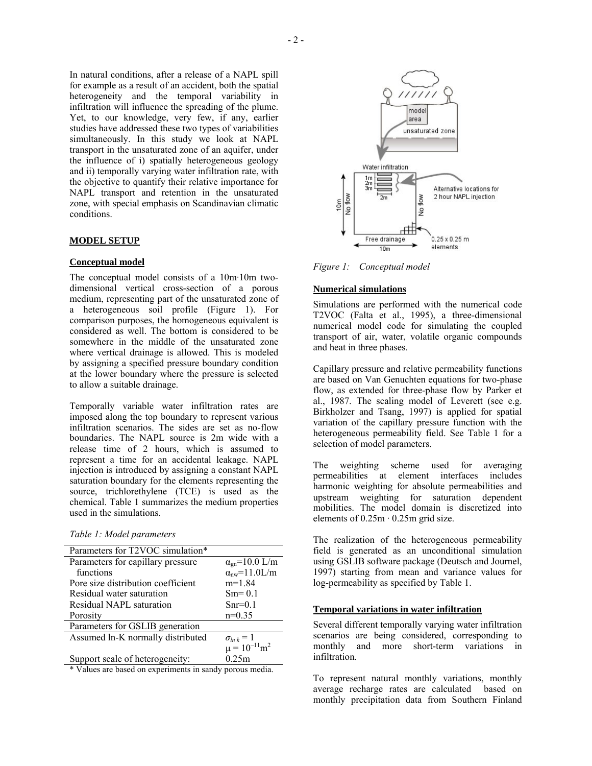In natural conditions, after a release of a NAPL spill for example as a result of an accident, both the spatial heterogeneity and the temporal variability in infiltration will influence the spreading of the plume. Yet, to our knowledge, very few, if any, earlier studies have addressed these two types of variabilities simultaneously. In this study we look at NAPL transport in the unsaturated zone of an aquifer, under the influence of i) spatially heterogeneous geology and ii) temporally varying water infiltration rate, with the objective to quantify their relative importance for NAPL transport and retention in the unsaturated zone, with special emphasis on Scandinavian climatic conditions.

## **MODEL SETUP**

#### **Conceptual model**

The conceptual model consists of a 10m·10m twodimensional vertical cross-section of a porous medium, representing part of the unsaturated zone of a heterogeneous soil profile (Figure 1). For comparison purposes, the homogeneous equivalent is considered as well. The bottom is considered to be somewhere in the middle of the unsaturated zone where vertical drainage is allowed. This is modeled by assigning a specified pressure boundary condition at the lower boundary where the pressure is selected to allow a suitable drainage.

Temporally variable water infiltration rates are imposed along the top boundary to represent various infiltration scenarios. The sides are set as no-flow boundaries. The NAPL source is 2m wide with a release time of 2 hours, which is assumed to represent a time for an accidental leakage. NAPL injection is introduced by assigning a constant NAPL saturation boundary for the elements representing the source, trichlorethylene (TCE) is used as the chemical. Table 1 summarizes the medium properties used in the simulations.

| Parameters for T2VOC simulation*                        |                            |
|---------------------------------------------------------|----------------------------|
| Parameters for capillary pressure                       | $\alpha_{gn}$ =10.0 L/m    |
| functions                                               | $\alpha_{\rm nw}$ =11.0L/m |
| Pore size distribution coefficient                      | $m=1.84$                   |
| Residual water saturation                               | $Sm = 0.1$                 |
| Residual NAPL saturation                                | $Snr=0.1$                  |
| Porosity                                                | $n=0.35$                   |
| Parameters for GSLIB generation                         |                            |
| Assumed ln-K normally distributed                       | $\sigma_{ln k} = 1$        |
|                                                         | $\mu = 10^{-11} m^2$       |
| Support scale of heterogeneity:                         | 0.25m                      |
| * Values are hased on experiments in sandy porous media |                            |

\* Values are based on experiments in sandy porous media.



*Figure 1: Conceptual model* 

### **Numerical simulations**

Simulations are performed with the numerical code T2VOC (Falta et al., 1995), a three-dimensional numerical model code for simulating the coupled transport of air, water, volatile organic compounds and heat in three phases.

Capillary pressure and relative permeability functions are based on Van Genuchten equations for two-phase flow, as extended for three-phase flow by Parker et al., 1987. The scaling model of Leverett (see e.g. Birkholzer and Tsang, 1997) is applied for spatial variation of the capillary pressure function with the heterogeneous permeability field. See Table 1 for a selection of model parameters.

The weighting scheme used for averaging permeabilities at element interfaces includes harmonic weighting for absolute permeabilities and upstream weighting for saturation dependent mobilities. The model domain is discretized into elements of  $0.25m \cdot 0.25m$  grid size.

The realization of the heterogeneous permeability field is generated as an unconditional simulation using GSLIB software package (Deutsch and Journel, 1997) starting from mean and variance values for log-permeability as specified by Table 1.

## **Temporal variations in water infiltration**

Several different temporally varying water infiltration scenarios are being considered, corresponding to monthly and more short-term variations in infiltration.

To represent natural monthly variations, monthly average recharge rates are calculated based on monthly precipitation data from Southern Finland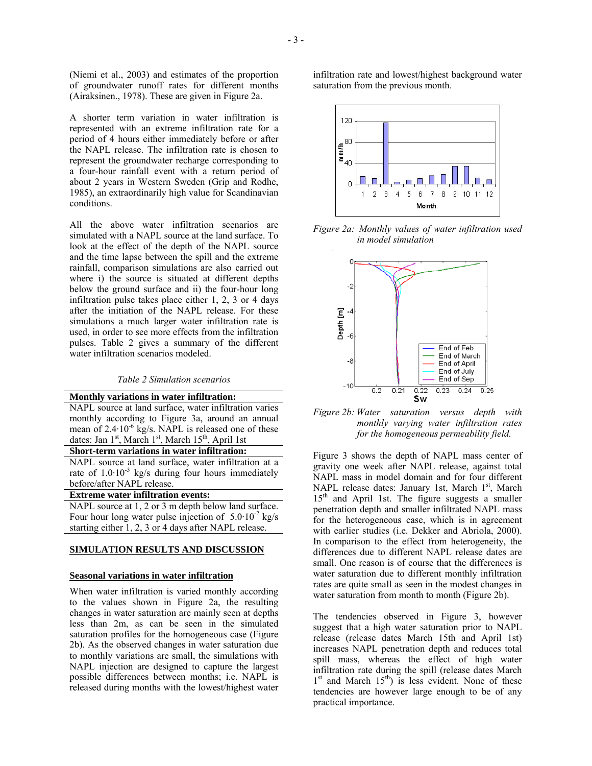(Niemi et al., 2003) and estimates of the proportion of groundwater runoff rates for different months (Airaksinen., 1978). These are given in Figure 2a.

A shorter term variation in water infiltration is represented with an extreme infiltration rate for a period of 4 hours either immediately before or after the NAPL release. The infiltration rate is chosen to represent the groundwater recharge corresponding to a four-hour rainfall event with a return period of about 2 years in Western Sweden (Grip and Rodhe, 1985), an extraordinarily high value for Scandinavian conditions.

All the above water infiltration scenarios are simulated with a NAPL source at the land surface. To look at the effect of the depth of the NAPL source and the time lapse between the spill and the extreme rainfall, comparison simulations are also carried out where i) the source is situated at different depths below the ground surface and ii) the four-hour long infiltration pulse takes place either 1, 2, 3 or 4 days after the initiation of the NAPL release. For these simulations a much larger water infiltration rate is used, in order to see more effects from the infiltration pulses. Table 2 gives a summary of the different water infiltration scenarios modeled.

#### *Table 2 Simulation scenarios*

| Monthly variations in water infiltration:                                               |  |
|-----------------------------------------------------------------------------------------|--|
| NAPL source at land surface, water infiltration varies                                  |  |
| monthly according to Figure 3a, around an annual                                        |  |
| mean of 2.4.10 <sup>-6</sup> kg/s. NAPL is released one of these                        |  |
| dates: Jan 1 <sup>st</sup> , March 1 <sup>st</sup> , March 15 <sup>th</sup> , April 1st |  |
| Short-term variations in water infiltration:                                            |  |
| NAPL source at land surface, water infiltration at a                                    |  |
| rate of $1.0 \cdot 10^{-3}$ kg/s during four hours immediately                          |  |
| before/after NAPL release.                                                              |  |
| <b>Extreme water infiltration events:</b>                                               |  |
| NAPL source at 1, 2 or 3 m depth below land surface.                                    |  |
| Four hour long water pulse injection of $5.0 \cdot 10^{-2}$ kg/s                        |  |

#### **SIMULATION RESULTS AND DISCUSSION**

starting either 1, 2, 3 or 4 days after NAPL release.

## **Seasonal variations in water infiltration**

When water infiltration is varied monthly according to the values shown in Figure 2a, the resulting changes in water saturation are mainly seen at depths less than 2m, as can be seen in the simulated saturation profiles for the homogeneous case (Figure 2b). As the observed changes in water saturation due to monthly variations are small, the simulations with NAPL injection are designed to capture the largest possible differences between months; i.e. NAPL is released during months with the lowest/highest water infiltration rate and lowest/highest background water saturation from the previous month.



*Figure 2a: Monthly values of water infiltration used in model simulation* 



*Figure 2b: Water saturation versus depth with monthly varying water infiltration rates for the homogeneous permeability field.* 

Figure 3 shows the depth of NAPL mass center of gravity one week after NAPL release, against total NAPL mass in model domain and for four different NAPL release dates: January 1st, March  $1<sup>st</sup>$ , March  $15<sup>th</sup>$  and April 1st. The figure suggests a smaller penetration depth and smaller infiltrated NAPL mass for the heterogeneous case, which is in agreement with earlier studies (i.e. Dekker and Abriola, 2000). In comparison to the effect from heterogeneity, the differences due to different NAPL release dates are small. One reason is of course that the differences is water saturation due to different monthly infiltration rates are quite small as seen in the modest changes in water saturation from month to month (Figure 2b).

The tendencies observed in Figure 3, however suggest that a high water saturation prior to NAPL release (release dates March 15th and April 1st) increases NAPL penetration depth and reduces total spill mass, whereas the effect of high water infiltration rate during the spill (release dates March  $1<sup>st</sup>$  and March  $15<sup>th</sup>$ ) is less evident. None of these tendencies are however large enough to be of any practical importance.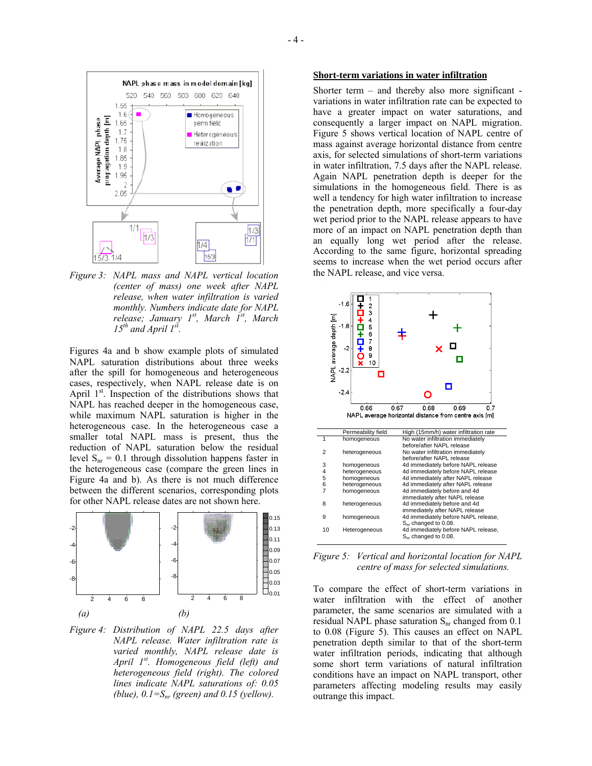

*Figure 3: NAPL mass and NAPL vertical location (center of mass) one week after NAPL release, when water infiltration is varied monthly. Numbers indicate date for NAPL release; January 1st, March 1st, March*   $15^{th}$  and April  $1^{st}$ .

Figures 4a and b show example plots of simulated NAPL saturation distributions about three weeks after the spill for homogeneous and heterogeneous cases, respectively, when NAPL release date is on April  $1<sup>st</sup>$ . Inspection of the distributions shows that NAPL has reached deeper in the homogeneous case, while maximum NAPL saturation is higher in the heterogeneous case. In the heterogeneous case a smaller total NAPL mass is present, thus the reduction of NAPL saturation below the residual level  $S_{nr} = 0.1$  through dissolution happens faster in the heterogeneous case (compare the green lines in Figure 4a and b). As there is not much difference between the different scenarios, corresponding plots for other NAPL release dates are not shown here.



*Figure 4: Distribution of NAPL 22.5 days after NAPL release. Water infiltration rate is varied monthly, NAPL release date is April 1st. Homogeneous field (left) and heterogeneous field (right). The colored lines indicate NAPL saturations of: 0.05 (blue),*  $0.1 = S_{nr}$  *(green) and 0.15 (yellow).* 

## **Short-term variations in water infiltration**

Shorter term – and thereby also more significant variations in water infiltration rate can be expected to have a greater impact on water saturations, and consequently a larger impact on NAPL migration. Figure 5 shows vertical location of NAPL centre of mass against average horizontal distance from centre axis, for selected simulations of short-term variations in water infiltration, 7.5 days after the NAPL release. Again NAPL penetration depth is deeper for the simulations in the homogeneous field. There is as well a tendency for high water infiltration to increase the penetration depth, more specifically a four-day wet period prior to the NAPL release appears to have more of an impact on NAPL penetration depth than an equally long wet period after the release. According to the same figure, horizontal spreading seems to increase when the wet period occurs after the NAPL release, and vice versa.



*Figure 5: Vertical and horizontal location for NAPL centre of mass for selected simulations.* 

To compare the effect of short-term variations in water infiltration with the effect of another parameter, the same scenarios are simulated with a residual NAPL phase saturation  $S_{nr}$  changed from 0.1 to 0.08 (Figure 5). This causes an effect on NAPL penetration depth similar to that of the short-term water infiltration periods, indicating that although some short term variations of natural infiltration conditions have an impact on NAPL transport, other parameters affecting modeling results may easily outrange this impact.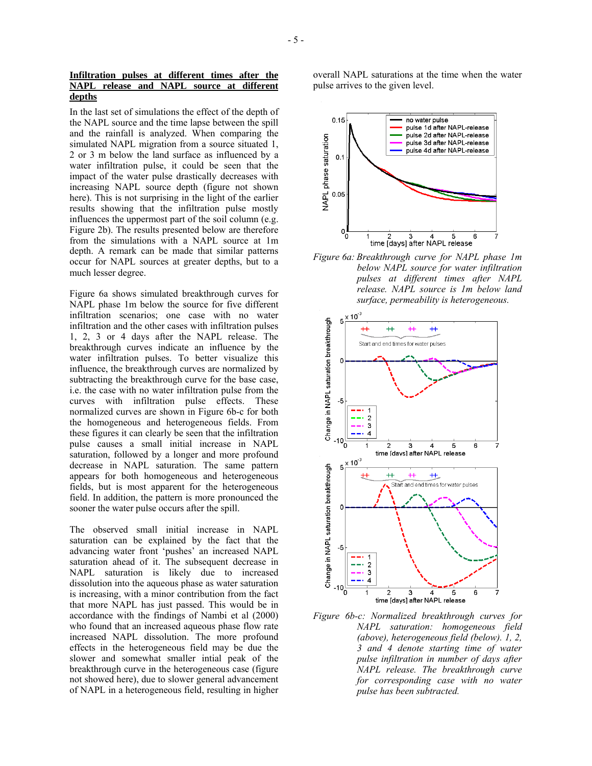In the last set of simulations the effect of the depth of the NAPL source and the time lapse between the spill and the rainfall is analyzed. When comparing the simulated NAPL migration from a source situated 1, 2 or 3 m below the land surface as influenced by a water infiltration pulse, it could be seen that the impact of the water pulse drastically decreases with increasing NAPL source depth (figure not shown here). This is not surprising in the light of the earlier results showing that the infiltration pulse mostly influences the uppermost part of the soil column (e.g. Figure 2b). The results presented below are therefore from the simulations with a NAPL source at 1m depth. A remark can be made that similar patterns occur for NAPL sources at greater depths, but to a much lesser degree.

Figure 6a shows simulated breakthrough curves for NAPL phase 1m below the source for five different infiltration scenarios; one case with no water infiltration and the other cases with infiltration pulses 1, 2, 3 or 4 days after the NAPL release. The breakthrough curves indicate an influence by the water infiltration pulses. To better visualize this influence, the breakthrough curves are normalized by subtracting the breakthrough curve for the base case, i.e. the case with no water infiltration pulse from the curves with infiltration pulse effects. These normalized curves are shown in Figure 6b-c for both the homogeneous and heterogeneous fields. From these figures it can clearly be seen that the infiltration pulse causes a small initial increase in NAPL saturation, followed by a longer and more profound decrease in NAPL saturation. The same pattern appears for both homogeneous and heterogeneous fields, but is most apparent for the heterogeneous field. In addition, the pattern is more pronounced the sooner the water pulse occurs after the spill.

The observed small initial increase in NAPL saturation can be explained by the fact that the advancing water front 'pushes' an increased NAPL saturation ahead of it. The subsequent decrease in NAPL saturation is likely due to increased dissolution into the aqueous phase as water saturation is increasing, with a minor contribution from the fact that more NAPL has just passed. This would be in accordance with the findings of Nambi et al (2000) who found that an increased aqueous phase flow rate increased NAPL dissolution. The more profound effects in the heterogeneous field may be due the slower and somewhat smaller intial peak of the breakthrough curve in the heterogeneous case (figure not showed here), due to slower general advancement of NAPL in a heterogeneous field, resulting in higher overall NAPL saturations at the time when the water pulse arrives to the given level.



*Figure 6a: Breakthrough curve for NAPL phase 1m below NAPL source for water infiltration pulses at different times after NAPL release. NAPL source is 1m below land surface, permeability is heterogeneous.* 



*Figure 6b-c: Normalized breakthrough curves for NAPL saturation: homogeneous field (above), heterogeneous field (below). 1, 2, 3 and 4 denote starting time of water pulse infiltration in number of days after NAPL release. The breakthrough curve for corresponding case with no water pulse has been subtracted.*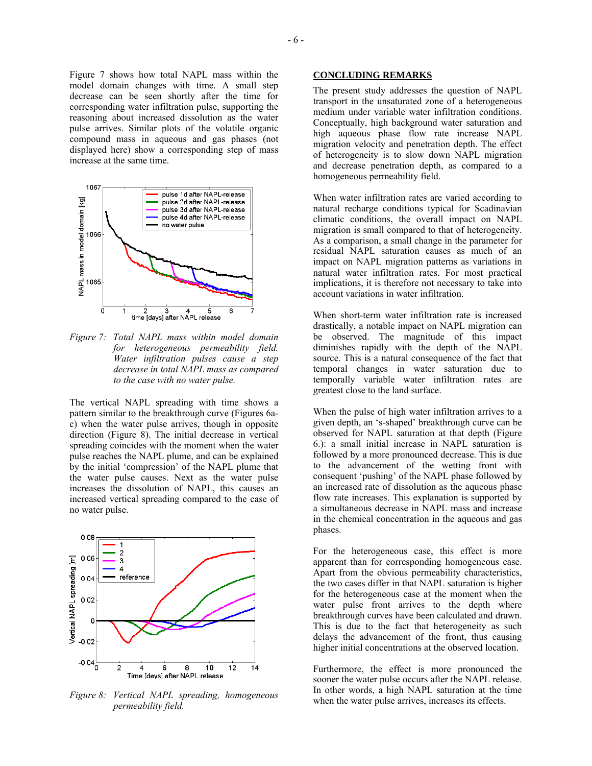Figure 7 shows how total NAPL mass within the model domain changes with time. A small step decrease can be seen shortly after the time for corresponding water infiltration pulse, supporting the reasoning about increased dissolution as the water pulse arrives. Similar plots of the volatile organic compound mass in aqueous and gas phases (not displayed here) show a corresponding step of mass increase at the same time.



*Figure 7: Total NAPL mass within model domain for heterogeneous permeability field. Water infiltration pulses cause a step decrease in total NAPL mass as compared to the case with no water pulse.* 

The vertical NAPL spreading with time shows a pattern similar to the breakthrough curve (Figures 6ac) when the water pulse arrives, though in opposite direction (Figure 8). The initial decrease in vertical spreading coincides with the moment when the water pulse reaches the NAPL plume, and can be explained by the initial 'compression' of the NAPL plume that the water pulse causes. Next as the water pulse increases the dissolution of NAPL, this causes an increased vertical spreading compared to the case of no water pulse.



*Figure 8: Vertical NAPL spreading, homogeneous permeability field.* 

## **CONCLUDING REMARKS**

The present study addresses the question of NAPL transport in the unsaturated zone of a heterogeneous medium under variable water infiltration conditions. Conceptually, high background water saturation and high aqueous phase flow rate increase NAPL migration velocity and penetration depth. The effect of heterogeneity is to slow down NAPL migration and decrease penetration depth, as compared to a homogeneous permeability field.

When water infiltration rates are varied according to natural recharge conditions typical for Scadinavian climatic conditions, the overall impact on NAPL migration is small compared to that of heterogeneity. As a comparison, a small change in the parameter for residual NAPL saturation causes as much of an impact on NAPL migration patterns as variations in natural water infiltration rates. For most practical implications, it is therefore not necessary to take into account variations in water infiltration.

When short-term water infiltration rate is increased drastically, a notable impact on NAPL migration can be observed. The magnitude of this impact diminishes rapidly with the depth of the NAPL source. This is a natural consequence of the fact that temporal changes in water saturation due to temporally variable water infiltration rates are greatest close to the land surface.

When the pulse of high water infiltration arrives to a given depth, an 's-shaped' breakthrough curve can be observed for NAPL saturation at that depth (Figure 6.): a small initial increase in NAPL saturation is followed by a more pronounced decrease. This is due to the advancement of the wetting front with consequent 'pushing' of the NAPL phase followed by an increased rate of dissolution as the aqueous phase flow rate increases. This explanation is supported by a simultaneous decrease in NAPL mass and increase in the chemical concentration in the aqueous and gas phases.

For the heterogeneous case, this effect is more apparent than for corresponding homogeneous case. Apart from the obvious permeability characteristics, the two cases differ in that NAPL saturation is higher for the heterogeneous case at the moment when the water pulse front arrives to the depth where breakthrough curves have been calculated and drawn. This is due to the fact that heterogeneity as such delays the advancement of the front, thus causing higher initial concentrations at the observed location.

Furthermore, the effect is more pronounced the sooner the water pulse occurs after the NAPL release. In other words, a high NAPL saturation at the time when the water pulse arrives, increases its effects.